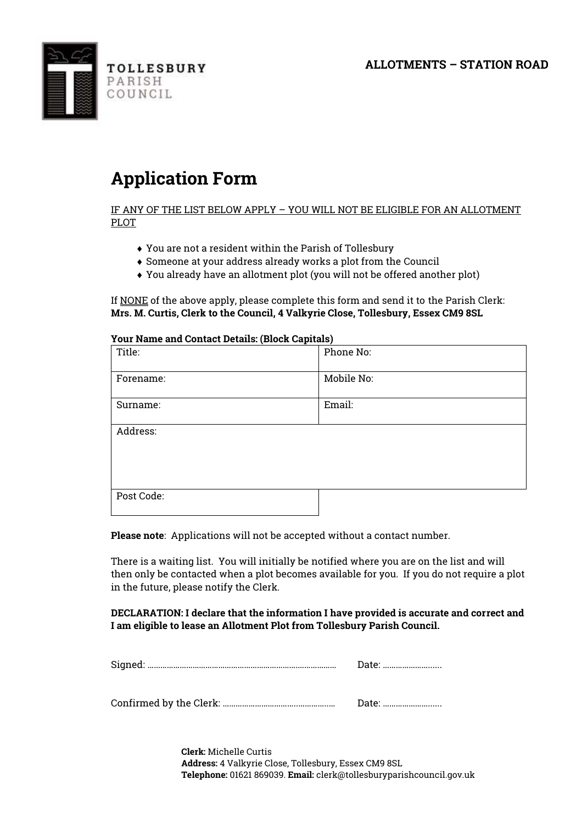**ALLOTMENTS – STATION ROAD**



## **Application Form**

IF ANY OF THE LIST BELOW APPLY – YOU WILL NOT BE ELIGIBLE FOR AN ALLOTMENT PLOT

- You are not a resident within the Parish of Tollesbury
- Someone at your address already works a plot from the Council
- You already have an allotment plot (you will not be offered another plot)

If NONE of the above apply, please complete this form and send it to the Parish Clerk: **Mrs. M. Curtis, Clerk to the Council, 4 Valkyrie Close, Tollesbury, Essex CM9 8SL**

| Your Name and Contact Details: (Block Capitals) |            |
|-------------------------------------------------|------------|
| Title:                                          | Phone No:  |
| Forename:                                       | Mobile No: |
| Surname:                                        | Email:     |
| Address:                                        |            |
| Post Code:                                      |            |

**Your Name and Contact Details: (Block Capitals)**

**Please note**: Applications will not be accepted without a contact number.

There is a waiting list. You will initially be notified where you are on the list and will then only be contacted when a plot becomes available for you. If you do not require a plot in the future, please notify the Clerk.

**DECLARATION: I declare that the information I have provided is accurate and correct and I am eligible to lease an Allotment Plot from Tollesbury Parish Council.** 

|--|--|

Confirmed by the Clerk: ……………………………..…………..… Date: …………………......

**Clerk:** Michelle Curtis **Address:** 4 Valkyrie Close, Tollesbury, Essex CM9 8SL **Telephone:** 01621 869039. **Email:** clerk@tollesburyparishcouncil.gov.uk